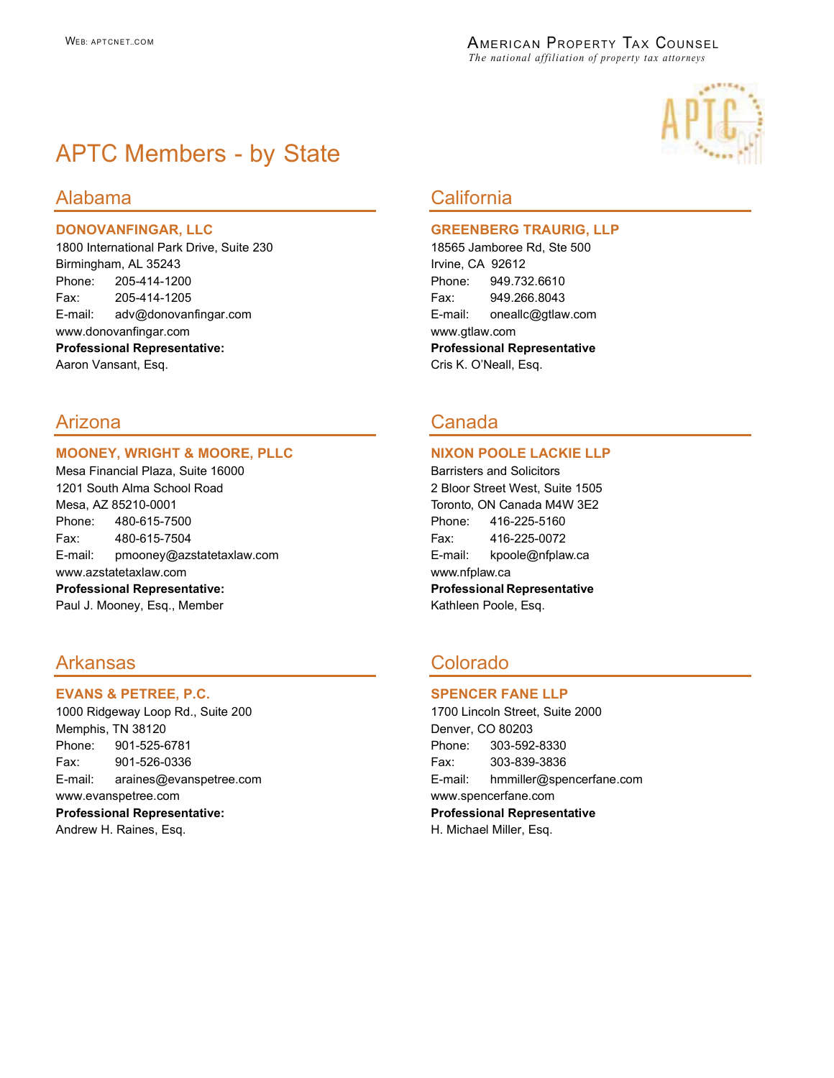

# APTC Members - by State

### DONOVANFINGAR, LLC

1800 International Park Drive, Suite 230 Birmingham, AL 35243 Phone: 205-414-1200 Fax: 205-414-1205 E-mail: adv@donovanfingar.com www.donovanfingar.com Professional Representative: Aaron Vansant, Esq.

### MOONEY, WRIGHT & MOORE, PLLC

Mesa Financial Plaza, Suite 16000 1201 South Alma School Road Mesa, AZ 85210-0001 Phone: 480-615-7500 Fax: 480-615-7504 E-mail: pmooney@azstatetaxlaw.com www.azstatetaxlaw.com Professional Representative: Paul J. Mooney, Esq., Member

# Arkansas Colorado

### EVANS & PETREE, P.C.

1000 Ridgeway Loop Rd., Suite 200 Memphis, TN 38120 Phone: 901-525-6781 Fax: 901-526-0336 E-mail: araines@evanspetree.com www.evanspetree.com Professional Representative: Andrew H. Raines, Esq.

## Alabama California

### GREENBERG TRAURIG, LLP

18565 Jamboree Rd, Ste 500 Irvine, CA 92612 Phone: 949.732.6610 Fax: 949.266.8043 E-mail: oneallc@gtlaw.com www.gtlaw.com Professional Representative Cris K. O'Neall, Esq.

# Arizona Canada

### NIXON POOLE LACKIE LLP

Barristers and Solicitors 2 Bloor Street West, Suite 1505 Toronto, ON Canada M4W 3E2 Phone: 416-225-5160 Fax: 416-225-0072 E-mail: kpoole@nfplaw.ca www.nfplaw.ca Professional Representative Kathleen Poole, Esq.

#### SPENCER FANE LLP

1700 Lincoln Street, Suite 2000 Denver, CO 80203 Phone: 303-592-8330 Fax: 303-839-3836 E-mail: hmmiller@spencerfane.com www.spencerfane.com Professional Representative H. Michael Miller, Esq.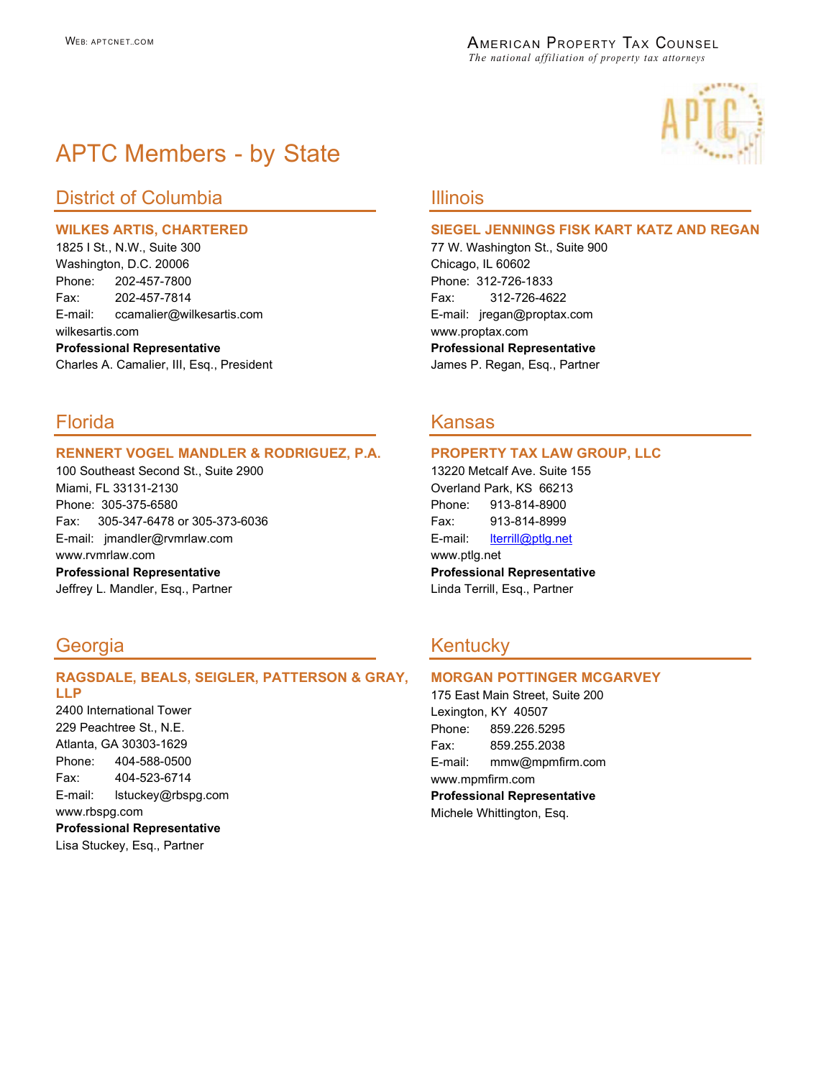

# APTC Members - by State

# District of Columbia **Illinois**

### WILKES ARTIS, CHARTERED

1825 I St., N.W., Suite 300 Washington, D.C. 20006 Phone: 202-457-7800 Fax: 202-457-7814 E-mail: ccamalier@wilkesartis.com wilkesartis.com Professional Representative Charles A. Camalier, III, Esq., President

## Florida Kansas

### RENNERT VOGEL MANDLER & RODRIGUEZ, P.A.

100 Southeast Second St., Suite 2900 Miami, FL 33131-2130 Phone: 305-375-6580 Fax: 305-347-6478 or 305-373-6036 E-mail: jmandler@rvmrlaw.com www.rvmrlaw.com

Professional Representative Jeffrey L. Mandler, Esq., Partner

### RAGSDALE, BEALS, SEIGLER, PATTERSON & GRAY, LLP

2400 International Tower 229 Peachtree St., N.E. Atlanta, GA 30303-1629 Phone: 404-588-0500 Fax: 404-523-6714 E-mail: lstuckey@rbspg.com www.rbspg.com Professional Representative

Lisa Stuckey, Esq., Partner

### SIEGEL JENNINGS FISK KART KATZ AND REGAN

77 W. Washington St., Suite 900 Chicago, IL 60602 Phone: 312-726-1833 Fax: 312-726-4622 E-mail: jregan@proptax.com www.proptax.com Professional Representative James P. Regan, Esq., Partner

#### PROPERTY TAX LAW GROUP, LLC

13220 Metcalf Ave. Suite 155 Overland Park, KS 66213 Phone: 913-814-8900 Fax: 913-814-8999 E-mail: lterrill@ptlg.net www.ptlg.net Professional Representative Linda Terrill, Esq., Partner

# Georgia **Kentucky** Kentucky

### MORGAN POTTINGER MCGARVEY

175 East Main Street, Suite 200 Lexington, KY 40507 Phone: 859.226.5295 Fax: 859.255.2038 E-mail: mmw@mpmfirm.com www.mpmfirm.com Professional Representative Michele Whittington, Esq.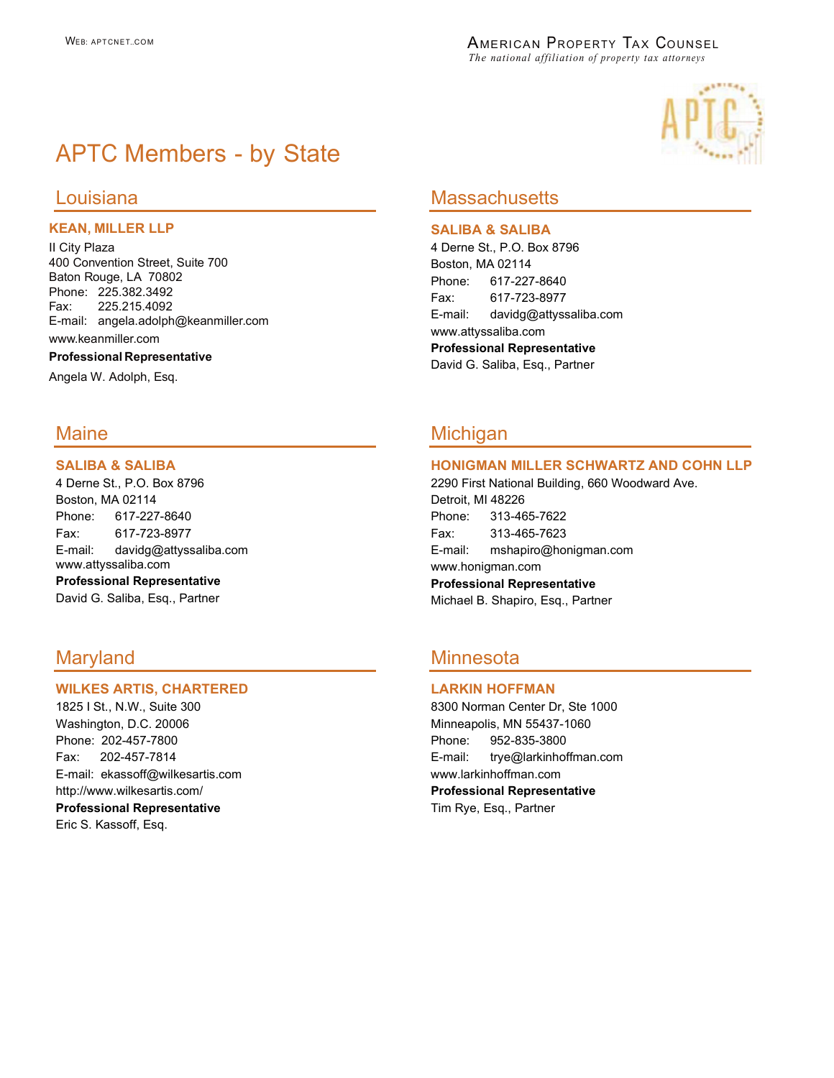# APTC Members - by State

### KEAN, MILLER LLP

II City Plaza 400 Convention Street, Suite 700 Baton Rouge, LA 70802 Phone: 225.382.3492 Fax: 225.215.4092 E-mail: angela.adolph@keanmiller.com www.keanmiller.com

#### Professional Representative

Angela W. Adolph, Esq.

### SALIBA & SALIBA

4 Derne St., P.O. Box 8796 Boston, MA 02114 Phone: 617-227-8640 Fax: 617-723-8977 E-mail: davidg@attyssaliba.com www.attyssaliba.com Professional Representative

David G. Saliba, Esq., Partner

### WILKES ARTIS, CHARTERED

1825 I St., N.W., Suite 300 Washington, D.C. 20006 Phone: 202-457-7800 Fax: 202-457-7814 E-mail: ekassoff@wilkesartis.com http://www.wilkesartis.com/

Professional Representative Eric S. Kassoff, Esq.



## Louisiana **Massachusetts**

### SALIBA & SALIBA

4 Derne St., P.O. Box 8796 Boston, MA 02114 Phone: 617-227-8640 Fax: 617-723-8977 E-mail: davidg@attyssaliba.com www.attyssaliba.com Professional Representative David G. Saliba, Esq., Partner

## Maine **Michigan**

### HONIGMAN MILLER SCHWARTZ AND COHN LLP

2290 First National Building, 660 Woodward Ave. Detroit, MI 48226 Phone: 313-465-7622 Fax: 313-465-7623 E-mail: mshapiro@honigman.com www.honigman.com Professional Representative Michael B. Shapiro, Esq., Partner

# Maryland Minnesota

### LARKIN HOFFMAN

8300 Norman Center Dr, Ste 1000 Minneapolis, MN 55437-1060 Phone: 952-835-3800 E-mail: trye@larkinhoffman.com www.larkinhoffman.com Professional Representative Tim Rye, Esq., Partner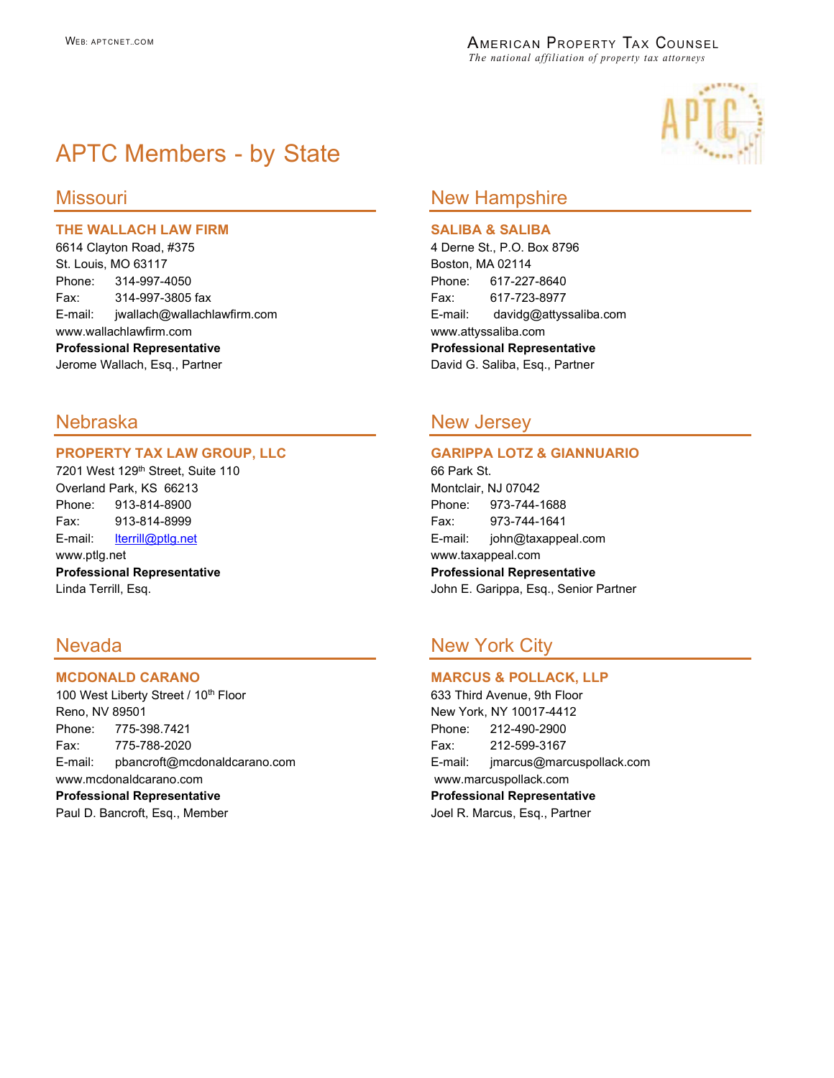

# APTC Members - by State

### THE WALLACH LAW FIRM

6614 Clayton Road, #375 St. Louis, MO 63117 Phone: 314-997-4050 Fax: 314-997-3805 fax E-mail: jwallach@wallachlawfirm.com www.wallachlawfirm.com Professional Representative Jerome Wallach, Esq., Partner

### PROPERTY TAX LAW GROUP, LLC

7201 West 129th Street, Suite 110 Overland Park, KS 66213 Phone: 913-814-8900 Fax: 913-814-8999 E-mail: lterrill@ptlg.net www.ptlg.net Professional Representative Linda Terrill, Esq.

#### MCDONALD CARANO

100 West Liberty Street / 10<sup>th</sup> Floor Reno, NV 89501 Phone: 775-398.7421 Fax: 775-788-2020 E-mail: pbancroft@mcdonaldcarano.com www.mcdonaldcarano.com Professional Representative Paul D. Bancroft, Esq., Member

### Missouri New Hampshire

#### SALIBA & SALIBA

4 Derne St., P.O. Box 8796 Boston, MA 02114 Phone: 617-227-8640 Fax: 617-723-8977 E-mail: davidg@attyssaliba.com www.attyssaliba.com Professional Representative David G. Saliba, Esq., Partner

## Nebraska New Jersey

### GARIPPA LOTZ & GIANNUARIO

66 Park St. Montclair, NJ 07042 Phone: 973-744-1688 Fax: 973-744-1641 E-mail: john@taxappeal.com www.taxappeal.com Professional Representative John E. Garippa, Esq., Senior Partner

# Nevada New York City

### MARCUS & POLLACK, LLP

633 Third Avenue, 9th Floor New York, NY 10017-4412 Phone: 212-490-2900 Fax: 212-599-3167 E-mail: jmarcus@marcuspollack.com www.marcuspollack.com Professional Representative Joel R. Marcus, Esq., Partner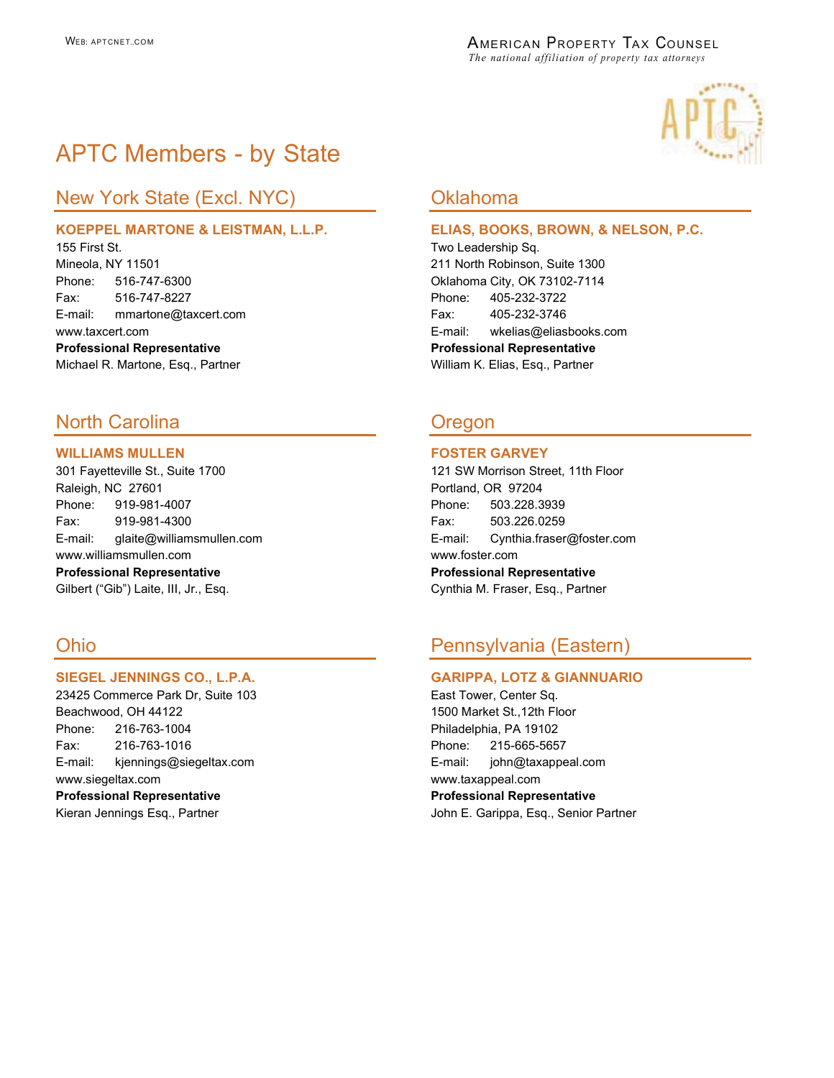

# APTC Members - by State

# New York State (Excl. NYC) **Canadia Accord Containers** Oklahoma

### KOEPPEL MARTONE & LEISTMAN, L.L.P.

155 First St. Mineola, NY 11501 Phone: 516-747-6300 Fax: 516-747-8227 E-mail: mmartone@taxcert.com www.taxcert.com Professional Representative Michael R. Martone, Esq., Partner

# North Carolina **Oregon**

### WILLIAMS MULLEN

301 Fayetteville St., Suite 1700 Raleigh, NC 27601 Phone: 919-981-4007 Fax: 919-981-4300 E-mail: glaite@williamsmullen.com www.williamsmullen.com

Professional Representative Gilbert ("Gib") Laite, III, Jr., Esq.

### SIEGEL JENNINGS CO., L.P.A.

23425 Commerce Park Dr, Suite 103 Beachwood, OH 44122 Phone: 216-763-1004 Fax: 216-763-1016 E-mail: kjennings@siegeltax.com www.siegeltax.com Professional Representative Kieran Jennings Esq., Partner

#### ELIAS, BOOKS, BROWN, & NELSON, P.C.

Two Leadership Sq. 211 North Robinson, Suite 1300 Oklahoma City, OK 73102-7114 Phone: 405-232-3722 Fax: 405-232-3746 E-mail: wkelias@eliasbooks.com Professional Representative William K. Elias, Esq., Partner

### FOSTER GARVEY

121 SW Morrison Street, 11th Floor Portland, OR 97204 Phone: 503.228.3939 Fax: 503.226.0259 E-mail: Cynthia.fraser@foster.com www.foster.com Professional Representative Cynthia M. Fraser, Esq., Partner

# Ohio Pennsylvania (Eastern)

#### GARIPPA, LOTZ & GIANNUARIO

East Tower, Center Sq. 1500 Market St.,12th Floor Philadelphia, PA 19102 Phone: 215-665-5657 E-mail: john@taxappeal.com www.taxappeal.com Professional Representative John E. Garippa, Esq., Senior Partner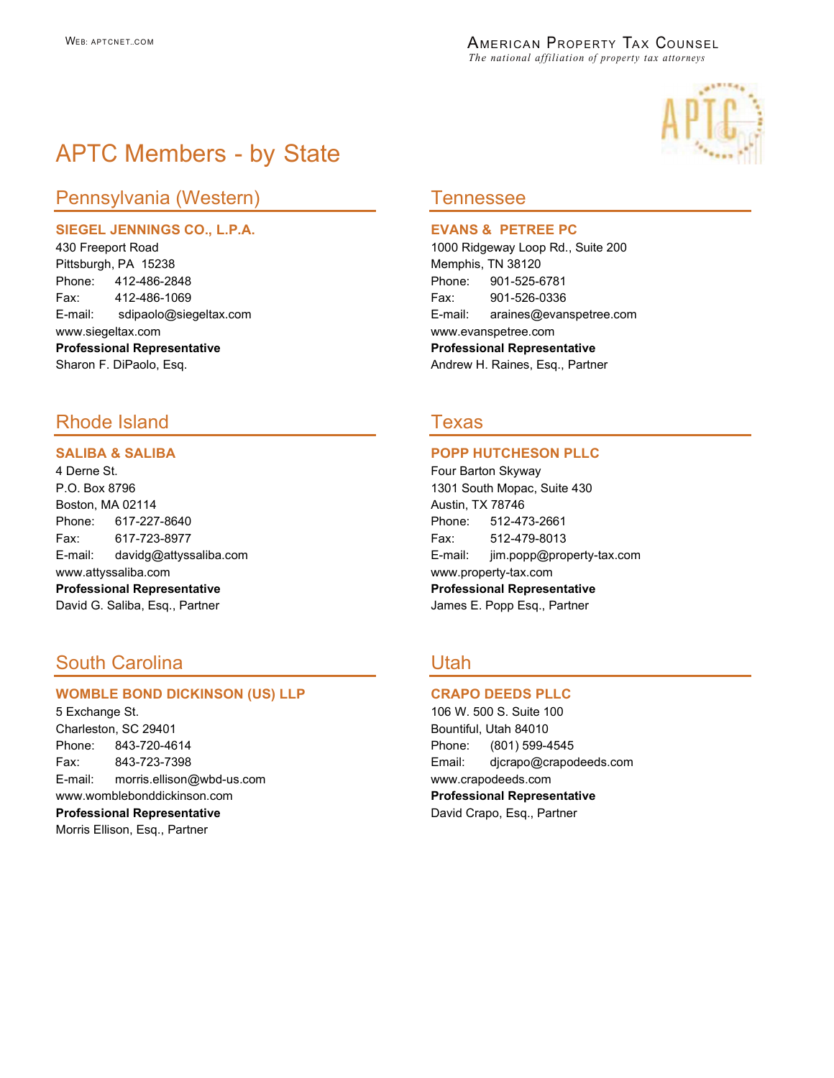

# APTC Members - by State

# Pennsylvania (Western) Tennessee

### SIEGEL JENNINGS CO., L.P.A.

430 Freeport Road Pittsburgh, PA 15238 Phone: 412-486-2848 Fax: 412-486-1069 E-mail: sdipaolo@siegeltax.com www.siegeltax.com Professional Representative Sharon F. DiPaolo, Esq.

# Rhode Island Texas

### SALIBA & SALIBA

4 Derne St. P.O. Box 8796 Boston, MA 02114 Phone: 617-227-8640 Fax: 617-723-8977 E-mail: davidg@attyssaliba.com www.attyssaliba.com Professional Representative David G. Saliba, Esq., Partner

# South Carolina **New York Carolina** Utah

### WOMBLE BOND DICKINSON (US) LLP

5 Exchange St. Charleston, SC 29401 Phone: 843-720-4614 Fax: 843-723-7398 E-mail: morris.ellison@wbd-us.com www.womblebonddickinson.com Professional Representative Morris Ellison, Esq., Partner

#### EVANS & PETREE PC

1000 Ridgeway Loop Rd., Suite 200 Memphis, TN 38120 Phone: 901-525-6781 Fax: 901-526-0336 E-mail: araines@evanspetree.com www.evanspetree.com Professional Representative Andrew H. Raines, Esq., Partner

### POPP HUTCHESON PLLC

Four Barton Skyway 1301 South Mopac, Suite 430 Austin, TX 78746 Phone: 512-473-2661 Fax: 512-479-8013 E-mail: jim.popp@property-tax.com www.property-tax.com Professional Representative James E. Popp Esq., Partner

### CRAPO DEEDS PLLC

106 W. 500 S. Suite 100 Bountiful, Utah 84010 Phone: (801) 599-4545 Email: djcrapo@crapodeeds.com www.crapodeeds.com Professional Representative David Crapo, Esq., Partner